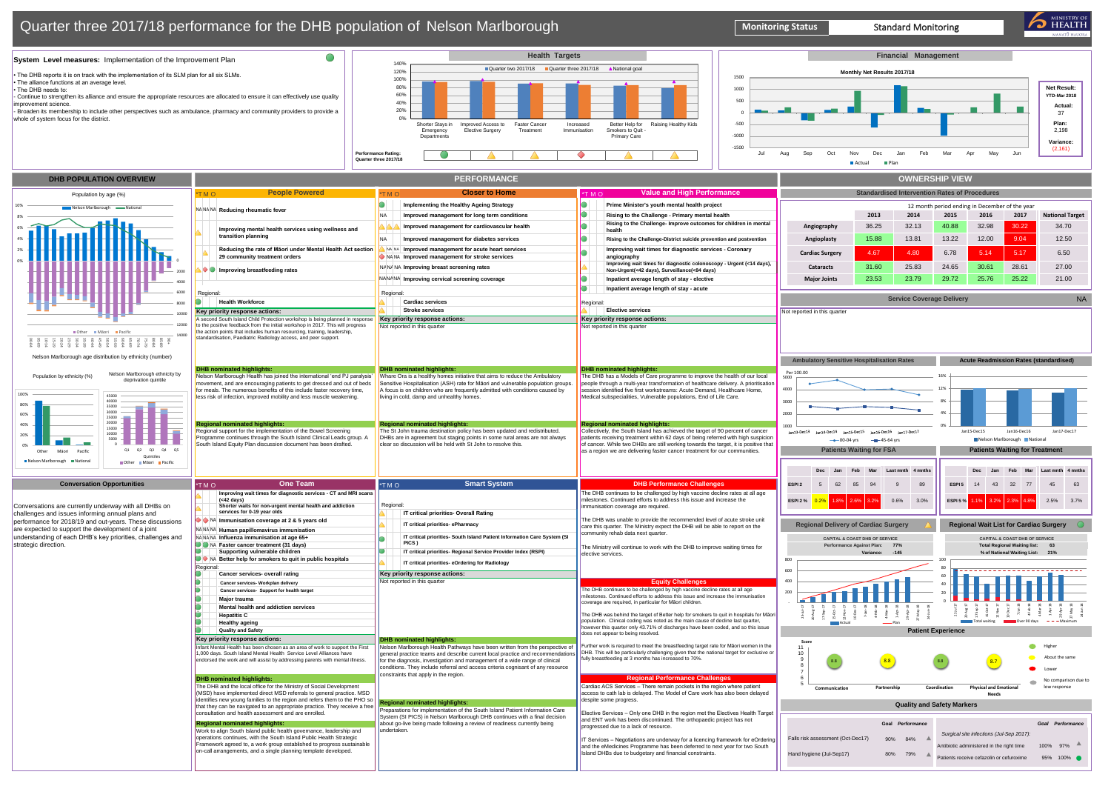and the eMedicines Programme has been deferred to next year for two South

land DHBs due to budgetary and financial constraints.



Hand hygiene (Jul-Sep17) 80% 79%

Antibiotic administered in the right time on-call arrangements, and a single planning template developed. **80% Patients developed.** Bland DHBs due to budgetary and financial constraints. **1999 Patients receive cefazolin or cefuroxime** 95% 100% ● 95% 100% ● 95% 100